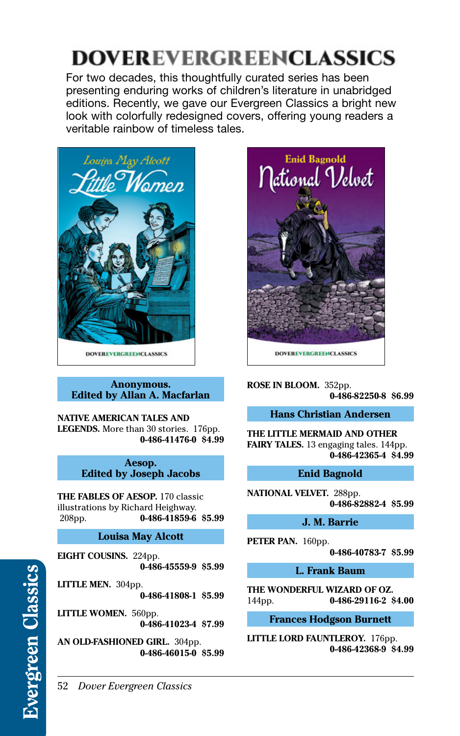## 52 *Dover Evergreen Classics*

# **DOVEREVERGREENCLASSICS**

For two decades, this thoughtfully curated series has been presenting enduring works of children's literature in unabridged editions. Recently, we gave our Evergreen Classics a bright new look with colorfully redesigned covers, offering young readers a veritable rainbow of timeless tales.



#### **Anonymous. Edited by Allan A. Macfarlan**

**NATIVE AMERICAN TALES AND LEGENDS.** More than 30 stories. 176pp. **[0-486-41476-0](http://store.doverpublications.com/0486414760.html) \$4.99**

> **Aesop. Edited by Joseph Jacobs**

**THE FABLES OF AESOP.** 170 classic illustrations by Richard Heighway.<br>208pp. **0-486-41859-6** 208pp. **[0-486-41859-6](http://store.doverpublications.com/0486418596.html) \$5.99**

## **Louisa May Alcott**

**EIGHT COUSINS.** 224pp. **[0-486-45559-9](http://store.doverpublications.com/0486455599.html) \$5.99**

**LITTLE MEN.** 304pp. **[0-486-41808-1](http://store.doverpublications.com/0486418081.html) \$5.99**

**LITTLE WOMEN.** 560pp. **[0-486-41023-4](http://store.doverpublications.com/0486410234.html) \$7.99**

**AN OLD-FASHIONED GIRL.** 304pp. **[0-486-46015-0](http://store.doverpublications.com/0486460150.html) \$5.99**



**ROSE IN BLOOM.** 352pp. **[0-486-82250-8](http://store.doverpublications.com/0486822508.html) \$6.99**

## **Hans Christian Andersen**

**THE LITTLE MERMAID AND OTHER FAIRY TALES.** 13 engaging tales. 144pp. **[0-486-42365-4](http://store.doverpublications.com/0486423654.html) \$4.99**

## **Enid Bagnold**

**NATIONAL VELVET.** 288pp. **[0-486-82882-4](http://store.doverpublications.com/0486828824.html) \$5.99**

## **J. M. Barrie**

**PETER PAN.** 160pp.

**[0-486-40783-7](http://store.doverpublications.com/0486407837.html) \$5.99**

**L. Frank Baum**

**THE WONDERFUL WIZARD OF OZ.**  144pp. **[0-486-29116-2](http://store.doverpublications.com/0486291162.html) \$4.00**

# **Frances Hodgson Burnett**

**LITTLE LORD FAUNTLEROY.** 176pp. **[0-486-42368-9](http://store.doverpublications.com/0486423689.html) \$4.99**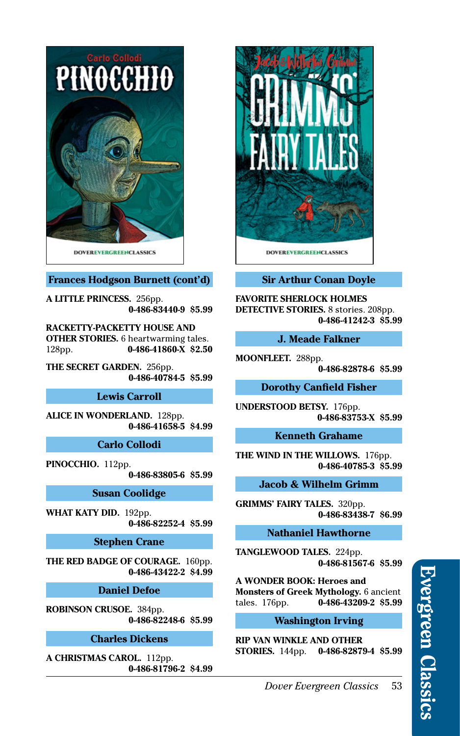

## **Frances Hodgson Burnett (cont'd)**

**A LITTLE PRINCESS.** 256pp. **[0-486-83440-9](http://store.doverpublications.com/0486834409.html) \$5.99**

**RACKETTY-PACKETTY HOUSE AND OTHER STORIES.** 6 heartwarming tales. 128pp. **[0-486-41860-X](http://store.doverpublications.com/048641860x.html) \$2.50**

**THE SECRET GARDEN.** 256pp. **[0-486-40784-5](http://store.doverpublications.com/0486407845.html) \$5.99**

#### **Lewis Carroll**

**ALICE IN WONDERLAND.** 128pp. **[0-486-41658-5](http://store.doverpublications.com/0486416585.html) \$4.99**

**Carlo Collodi**

**PINOCCHIO.** 112pp. **[0-486-83805-6](http://store.doverpublications.com/0486838056.html) \$5.99**

#### **Susan Coolidge**

**WHAT KATY DID.** 192pp. **[0-486-82252-4](http://store.doverpublications.com/0486822524.html) \$5.99**

#### **Stephen Crane**

**THE RED BADGE OF COURAGE.** 160pp. **[0-486-43422-2](http://store.doverpublications.com/0486434222.html) \$4.99**

**Daniel Defoe**

**ROBINSON CRUSOE.** 384pp. **[0-486-82248-6](http://store.doverpublications.com/0486822486.html) \$5.99**

**Charles Dickens**

**A CHRISTMAS CAROL.** 112pp. **[0-486-81796-2](http://store.doverpublications.com/0486817962.html) \$4.99**



# **Sir Arthur Conan Doyle**

**FAVORITE SHERLOCK HOLMES DETECTIVE STORIES.** 8 stories. 208pp. **[0-486-41242-3](http://store.doverpublications.com/0486412423.html) \$5.99**

#### **J. Meade Falkner**

**MOONFLEET.** 288pp.

**[0-486-82878-6](http://store.doverpublications.com/0486828786.html) \$5.99**

**Dorothy Canfield Fisher**

**UNDERSTOOD BETSY.** 176pp. **[0-486-83753-X](http://store.doverpublications.com/048683753x.html) \$5.99**

## **Kenneth Grahame**

**THE WIND IN THE WILLOWS.** 176pp. **[0-486-40785-3](http://store.doverpublications.com/0486407853.html) \$5.99**

#### **Jacob & Wilhelm Grimm**

**GRIMMS' FAIRY TALES.** 320pp. **[0-486-83438-7](http://store.doverpublications.com/0486834387.html) \$6.99**

## **Nathaniel Hawthorne**

**TANGLEWOOD TALES.** 224pp. **[0-486-81567-6](http://store.doverpublications.com/0486815676.html) \$5.99**

**A WONDER BOOK: Heroes and Monsters of Greek Mythology.** 6 ancient tales. 176pp. **[0-486-43209-2](http://store.doverpublications.com/0486432092.html) \$5.99**

## **Washington Irving**

**RIP VAN WINKLE AND OTHER STORIES.** 144pp. **[0-486-82879-4](http://store.doverpublications.com/0486828794.html) \$5.99**

*Dover Evergreen Classics* 53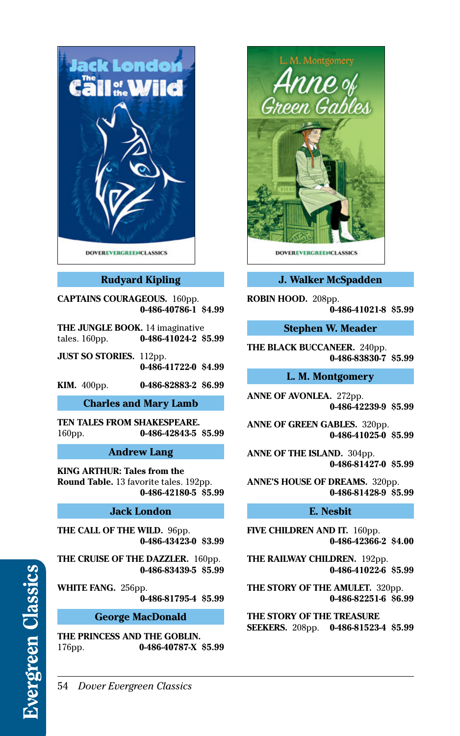

# **Rudyard Kipling**

**CAPTAINS COURAGEOUS.** 160pp. **[0-486-40786-1](http://store.doverpublications.com/0486407861.html) \$4.99**

**THE JUNGLE BOOK.** 14 imaginative tales. 160pp. **[0-486-41024-2](http://store.doverpublications.com/0486410242.html) \$5.99**

**JUST SO STORIES.** 112pp. **[0-486-41722-0](http://store.doverpublications.com/0486417220.html) \$4.99**

**KIM.** 400pp. **[0-486-82883-2](http://store.doverpublications.com/0486828832.html) \$6.99**

**Charles and Mary Lamb**

**TEN TALES FROM SHAKESPEARE.**  160pp. **[0-486-42843-5](http://store.doverpublications.com/0486428435.html) \$5.99**

#### **Andrew Lang**

**KING ARTHUR: Tales from the Round Table.** 13 favorite tales. 192pp. **[0-486-42180-5](http://store.doverpublications.com/0486421805.html) \$5.99**

## **Jack London**

**THE CALL OF THE WILD.** 96pp. **[0-486-43423-0](http://store.doverpublications.com/0486434230.html) \$3.99**

**THE CRUISE OF THE DAZZLER.** 160pp. **[0-486-83439-5](http://store.doverpublications.com/0486834395.html) \$5.99**

**WHITE FANG.** 256pp. **[0-486-81795-4](http://store.doverpublications.com/0486817954.html) \$5.99**

#### **George MacDonald**

**THE PRINCESS AND THE GOBLIN.**  176pp. **[0-486-40787-X](http://store.doverpublications.com/048640787x.html) \$5.99**



## **J. Walker McSpadden**

**ROBIN HOOD.** 208pp. **[0-486-41021-8](http://store.doverpublications.com/0486410218.html) \$5.99**

**Stephen W. Meader**

**THE BLACK BUCCANEER.** 240pp. **[0-486-83830-7](http://store.doverpublications.com/0486838307.html) \$5.99**

#### **L. M. Montgomery**

**ANNE OF AVONLEA.** 272pp. **[0-486-42239-9](http://store.doverpublications.com/0486422399.html) \$5.99**

**ANNE OF GREEN GABLES.** 320pp. **[0-486-41025-0](http://store.doverpublications.com/0486410250.html) \$5.99**

**ANNE OF THE ISLAND.** 304pp. **[0-486-81427-0](http://store.doverpublications.com/0486814270.html) \$5.99**

**ANNE'S HOUSE OF DREAMS.** 320pp. **[0-486-81428-9](http://store.doverpublications.com/0486814289.html) \$5.99**

#### **E. Nesbit**

**FIVE CHILDREN AND IT.** 160pp. **[0-486-42366-2](http://store.doverpublications.com/0486423662.html) \$4.00**

**THE RAILWAY CHILDREN.** 192pp. **[0-486-41022-6](http://store.doverpublications.com/0486410226.html) \$5.99**

**THE STORY OF THE AMULET.** 320pp. **[0-486-82251-6](http://store.doverpublications.com/0486822516.html) \$6.99**

**THE STORY OF THE TREASURE SEEKERS.** 208pp. **[0-486-81523-4](http://store.doverpublications.com/0486815234.html) \$5.99**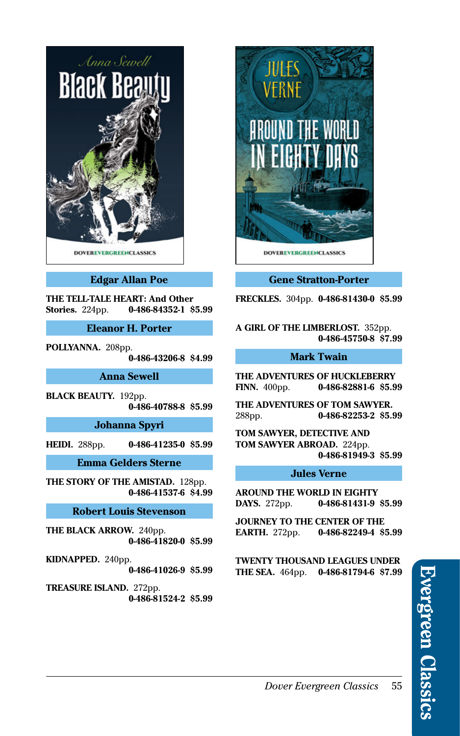

## **Edgar Allan Poe**

**THE TELL-TALE HEART: And Other Stories.** 224pp. **[0-486-84352-1](http://store.doverpublications.com/0486843521.html) \$5.99**

**Eleanor H. Porter**

**POLLYANNA.** 208pp.

**[0-486-43206-8](http://store.doverpublications.com/0486432068.html) \$4.99**

**Anna Sewell**

**BLACK BEAUTY.** 192pp. **[0-486-40788-8](http://store.doverpublications.com/0486407888.html) \$5.99**

**Johanna Spyri**

**HEIDI.** 288pp. **[0-486-41235-0](http://store.doverpublications.com/0486412350.html) \$5.99**

**Emma Gelders Sterne**

**THE STORY OF THE AMISTAD.** 128pp. **[0-486-41537-6](http://store.doverpublications.com/0486415376.html) \$4.99**

## **Robert Louis Stevenson**

**THE BLACK ARROW.** 240pp. **[0-486-41820-0](http://store.doverpublications.com/0486418200.html) \$5.99**

**KIDNAPPED.** 240pp. **[0-486-41026-9](http://store.doverpublications.com/0486410269.html) \$5.99**

**TREASURE ISLAND.** 272pp. **[0-486-81524-2](http://store.doverpublications.com/0486815242.html) \$5.99**



#### **Gene Stratton-Porter**

**FRECKLES.** 304pp. **[0-486-81430-0](http://store.doverpublications.com/0486814300.html) \$5.99**

**A GIRL OF THE LIMBERLOST.** 352pp. **[0-486-45750-8](http://store.doverpublications.com/0486457508.html) \$7.99**

#### **Mark Twain**

**THE ADVENTURES OF HUCKLEBERRY FINN.** 400pp. **[0-486-82881-6](http://store.doverpublications.com/0486828816.html) \$5.99**

**THE ADVENTURES OF TOM SAWYER.**  288pp. **[0-486-82253-2](http://store.doverpublications.com/0486822532.html) \$5.99**

**TOM SAWYER, DETECTIVE AND TOM SAWYER ABROAD.** 224pp. **[0-486-81949-3](http://store.doverpublications.com/0486819493.html) \$5.99**

#### **Jules Verne**

**AROUND THE WORLD IN EIGHTY DAYS.** 272pp. **[0-486-81431-9](http://store.doverpublications.com/0486814319.html) \$5.99**

**JOURNEY TO THE CENTER OF THE EARTH.** 272pp. **[0-486-82249-4](http://store.doverpublications.com/0486822494.html) \$5.99**

**TWENTY THOUSAND LEAGUES UNDER THE SEA.** 464pp. **[0-486-81794-6](http://store.doverpublications.com/0486817946.html) \$7.99**